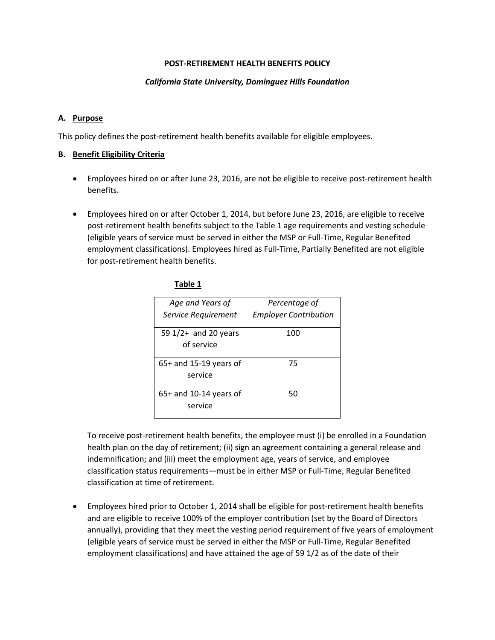### **POST-RETIREMENT HEALTH BENEFITS POLICY**

### *California State University, Dominguez Hills Foundation*

#### **A. Purpose**

This policy defines the post-retirement health benefits available for eligible employees.

#### **B. Benefit Eligibility Criteria**

- Employees hired on or after June 23, 2016, are not be eligible to receive post-retirement health benefits.
- Employees hired on or after October 1, 2014, but before June 23, 2016, are eligible to receive post-retirement health benefits subject to the Table 1 age requirements and vesting schedule (eligible years of service must be served in either the MSP or Full-Time, Regular Benefited employment classifications). Employees hired as Full-Time, Partially Benefited are not eligible for post-retirement health benefits.

| Age and Years of<br>Service Requirement | Percentage of<br><b>Employer Contribution</b> |
|-----------------------------------------|-----------------------------------------------|
| 59 1/2+ and 20 years<br>of service      | 100                                           |
| $65+$ and 15-19 years of<br>service     | 75                                            |
| $65+$ and 10-14 years of<br>service     | 50                                            |

#### **Table 1**

To receive post-retirement health benefits, the employee must (i) be enrolled in a Foundation health plan on the day of retirement; (ii) sign an agreement containing a general release and indemnification; and (iii) meet the employment age, years of service, and employee classification status requirements—must be in either MSP or Full-Time, Regular Benefited classification at time of retirement.

• Employees hired prior to October 1, 2014 shall be eligible for post-retirement health benefits and are eligible to receive 100% of the employer contribution (set by the Board of Directors annually), providing that they meet the vesting period requirement of five years of employment (eligible years of service must be served in either the MSP or Full-Time, Regular Benefited employment classifications) and have attained the age of 59 1/2 as of the date of their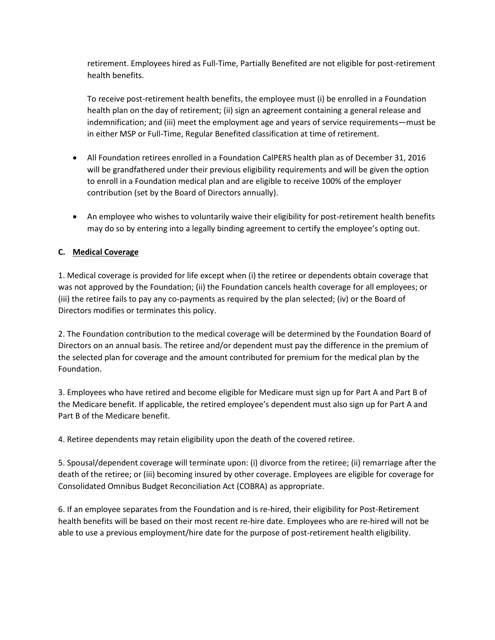retirement. Employees hired as Full-Time, Partially Benefited are not eligible for post-retirement health benefits.

To receive post-retirement health benefits, the employee must (i) be enrolled in a Foundation health plan on the day of retirement; (ii) sign an agreement containing a general release and indemnification; and (iii) meet the employment age and years of service requirements—must be in either MSP or Full-Time, Regular Benefited classification at time of retirement.

- All Foundation retirees enrolled in a Foundation CalPERS health plan as of December 31, 2016 will be grandfathered under their previous eligibility requirements and will be given the option to enroll in a Foundation medical plan and are eligible to receive 100% of the employer contribution (set by the Board of Directors annually).
- An employee who wishes to voluntarily waive their eligibility for post-retirement health benefits may do so by entering into a legally binding agreement to certify the employee's opting out.

# **C. Medical Coverage**

1. Medical coverage is provided for life except when (i) the retiree or dependents obtain coverage that was not approved by the Foundation; (ii) the Foundation cancels health coverage for all employees; or (iii) the retiree fails to pay any co-payments as required by the plan selected; (iv) or the Board of Directors modifies or terminates this policy.

2. The Foundation contribution to the medical coverage will be determined by the Foundation Board of Directors on an annual basis. The retiree and/or dependent must pay the difference in the premium of the selected plan for coverage and the amount contributed for premium for the medical plan by the Foundation.

3. Employees who have retired and become eligible for Medicare must sign up for Part A and Part B of the Medicare benefit. If applicable, the retired employee's dependent must also sign up for Part A and Part B of the Medicare benefit.

4. Retiree dependents may retain eligibility upon the death of the covered retiree.

5. Spousal/dependent coverage will terminate upon: (i) divorce from the retiree; (ii) remarriage after the death of the retiree; or (iii) becoming insured by other coverage. Employees are eligible for coverage for Consolidated Omnibus Budget Reconciliation Act (COBRA) as appropriate.

6. If an employee separates from the Foundation and is re-hired, their eligibility for Post-Retirement health benefits will be based on their most recent re-hire date. Employees who are re-hired will not be able to use a previous employment/hire date for the purpose of post-retirement health eligibility.